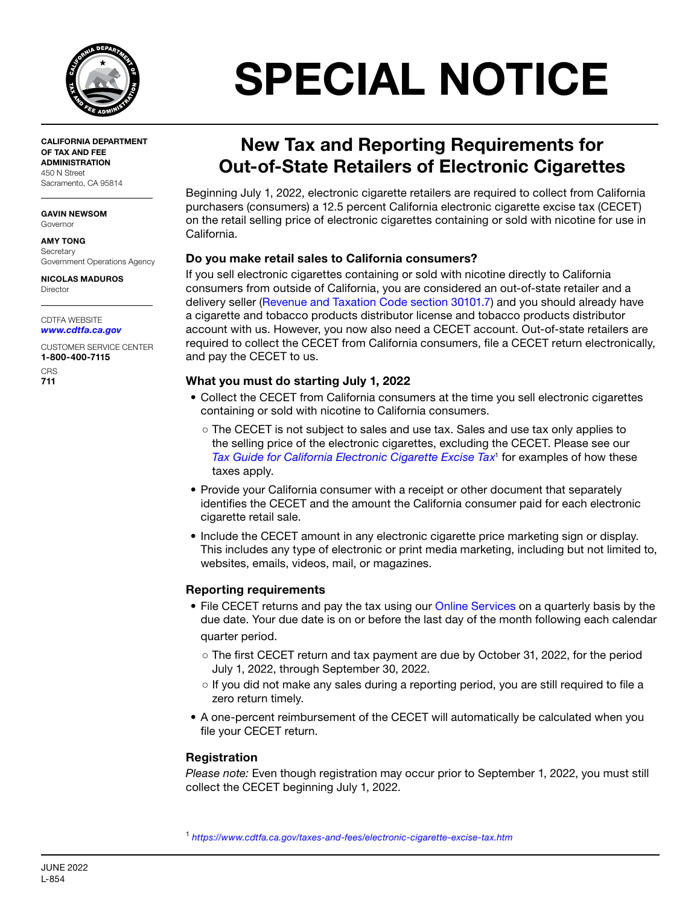

CALIFORNIA DEPARTMENT OF TAX AND FEE ADMINISTRATION 450 N Street Sacramento, CA 95814

GAVIN NEWSOM Governor

AMY TONG **Secretary** Government Operations Agency

NICOLAS MADUROS Director

CDTFA WEBSITE *[www.cdtfa.ca.gov](http://www.cdtfa.ca.gov)*

CUSTOMER SERVICE CENTER 1-800-400-7115

**CRS** 711

# SPECIAL NOTICE

## New Tax and Reporting Requirements for Out-of-State Retailers of Electronic Cigarettes

Beginning July 1, 2022, electronic cigarette retailers are required to collect from California purchasers (consumers) a 12.5 percent California electronic cigarette excise tax (CECET) on the retail selling price of electronic cigarettes containing or sold with nicotine for use in California.

#### Do you make retail sales to California consumers?

If you sell electronic cigarettes containing or sold with nicotine directly to California consumers from outside of California, you are considered an out-of-state retailer and a delivery seller ([Revenue and Taxation Code section 30101.7](http://www.cdtfa.ca.gov/lawguides/vol3/ctptl/ctptl-30101-7.html)) and you should already have a cigarette and tobacco products distributor license and tobacco products distributor account with us. However, you now also need a CECET account. Out-of-state retailers are required to collect the CECET from California consumers, file a CECET return electronically, and pay the CECET to us.

#### What you must do starting July 1, 2022

- Collect the CECET from California consumers at the time you sell electronic cigarettes containing or sold with nicotine to California consumers.
	- The CECET is not subject to sales and use tax. Sales and use tax only applies to the selling price of the electronic cigarettes, excluding the CECET. Please see our *[Tax Guide for California Electronic Cigarette Excise Tax](https://www.cdtfa.ca.gov/taxes-and-fees/electronic-cigarette-excise-tax.htm)*<sup>1</sup> for examples of how these taxes apply.
- Provide your California consumer with a receipt or other document that separately identifies the CECET and the amount the California consumer paid for each electronic cigarette retail sale.
- Include the CECET amount in any electronic cigarette price marketing sign or display. This includes any type of electronic or print media marketing, including but not limited to, websites, emails, videos, mail, or magazines.

### Reporting requirements

- File CECET returns and pay the tax using our [Online Services](https://onlineservices.cdtfa.ca.gov/_/) on a quarterly basis by the due date. Your due date is on or before the last day of the month following each calendar quarter period.
	- The first CECET return and tax payment are due by October 31, 2022, for the period July 1, 2022, through September 30, 2022.
	- If you did not make any sales during a reporting period, you are still required to file a zero return timely.
- A one-percent reimbursement of the CECET will automatically be calculated when you file your CECET return.

#### Registration

*Please note:* Even though registration may occur prior to September 1, 2022, you must still collect the CECET beginning July 1, 2022.

<sup>1</sup> *<https://www.cdtfa.ca.gov/taxes-and-fees/electronic-cigarette-excise-tax.htm>*